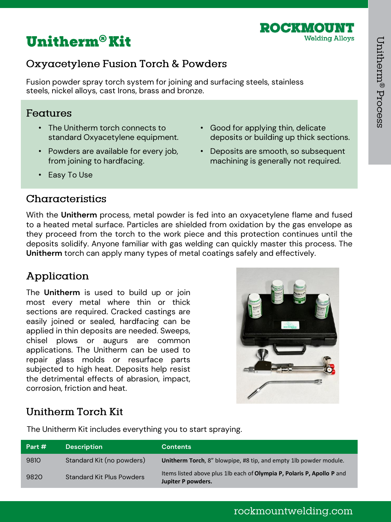



## Oxyacetylene Fusion Torch & Powders

Fusion powder spray torch system for joining and surfacing steels, stainless steels, nickel alloys, cast Irons, brass and bronze.

#### Features

- The Unitherm torch connects to standard Oxyacetylene equipment.
- Powders are available for every job, from joining to hardfacing.
- Good for applying thin, delicate deposits or building up thick sections.
- Deposits are smooth, so subsequent machining is generally not required.

• Easy To Use

## Characteristics

With the **Unitherm** process, metal powder is fed into an oxyacetylene flame and fused to a heated metal surface. Particles are shielded from oxidation by the gas envelope as they proceed from the torch to the work piece and this protection continues until the deposits solidify. Anyone familiar with gas welding can quickly master this process. The **Unitherm** torch can apply many types of metal coatings safely and effectively.

# Application

The **Unitherm** is used to build up or join most every metal where thin or thick sections are required. Cracked castings are easily joined or sealed, hardfacing can be applied in thin deposits are needed. Sweeps, chisel plows or augurs are common applications. The Unitherm can be used to repair glass molds or resurface parts subjected to high heat. Deposits help resist the detrimental effects of abrasion, impact, corrosion, friction and heat.



# **Unitherm Torch Kit**

The Unitherm Kit includes everything you to start spraying.

| Part # | <b>Description</b>               | <b>Contents</b>                                                                              |
|--------|----------------------------------|----------------------------------------------------------------------------------------------|
| 9810   | Standard Kit (no powders)        | Unitherm Torch, 8" blowpipe, #8 tip, and empty 1lb powder module.                            |
| 9820   | <b>Standard Kit Plus Powders</b> | Items listed above plus 1lb each of Olympia P, Polaris P, Apollo P and<br>Jupiter P powders. |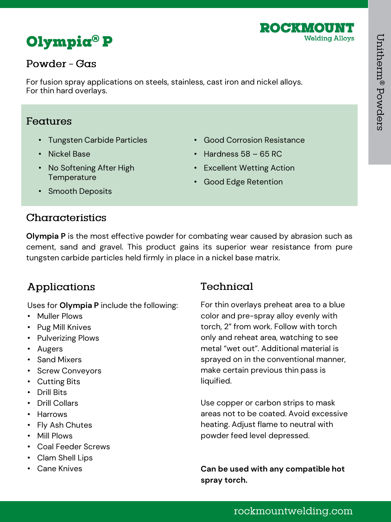



## Powder - Gas

For fusion spray applications on steels, stainless, cast iron and nickel alloys. For thin hard overlays.

#### Features

- Tungsten Carbide Particles
- Nickel Base
- No Softening After High **Temperature**
- Good Corrosion Resistance
- Hardness  $58 65$  RC
- Excellent Wetting Action
- Good Edge Retention

• Smooth Deposits

## Characteristics

**Olympia P** is the most effective powder for combating wear caused by abrasion such as cement, sand and gravel. This product gains its superior wear resistance from pure tungsten carbide particles held firmly in place in a nickel base matrix.

## Applications

Uses for **Olympia P** include the following:

- Muller Plows
- Pug Mill Knives
- Pulverizing Plows
- Augers
- Sand Mixers
- Screw Conveyors
- Cutting Bits
- Drill Bits
- Drill Collars
- Harrows
- Fly Ash Chutes
- Mill Plows
- Coal Feeder Screws
- Clam Shell Lips
- 

# Technical

For thin overlays preheat area to a blue color and pre-spray alloy evenly with torch, 2" from work. Follow with torch only and reheat area, watching to see metal "wet out". Additional material is sprayed on in the conventional manner, make certain previous thin pass is liquified.

Use copper or carbon strips to mask areas not to be coated. Avoid excessive heating. Adjust flame to neutral with powder feed level depressed.

• Cane Knives **Can be used with any compatible hot spray torch.**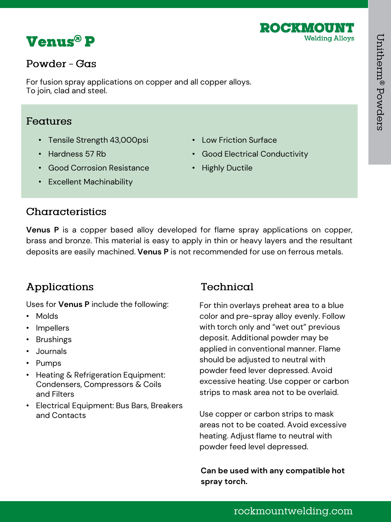



#### Powder - Gas

For fusion spray applications on copper and all copper alloys. To join, clad and steel.

#### Features

- Tensile Strength 43,000psi
- Hardness 57 Rb
- Good Corrosion Resistance
- Low Friction Surface
- Good Electrical Conductivity
- Highly Ductile

• Excellent Machinability

## Characteristics

**Venus P** is a copper based alloy developed for flame spray applications on copper, brass and bronze. This material is easy to apply in thin or heavy layers and the resultant deposits are easily machined. **Venus P** is not recommended for use on ferrous metals.

# Applications

Uses for **Venus P** include the following:

- Molds
- Impellers
- Brushings
- Journals
- Pumps
- Heating & Refrigeration Equipment: Condensers, Compressors & Coils and Filters
- Electrical Equipment: Bus Bars, Breakers and Contacts

# Technical

For thin overlays preheat area to a blue color and pre-spray alloy evenly. Follow with torch only and "wet out" previous deposit. Additional powder may be applied in conventional manner. Flame should be adjusted to neutral with powder feed lever depressed. Avoid excessive heating. Use copper or carbon strips to mask area not to be overlaid.

Use copper or carbon strips to mask areas not to be coated. Avoid excessive heating. Adjust flame to neutral with powder feed level depressed.

**Can be used with any compatible hot spray torch.**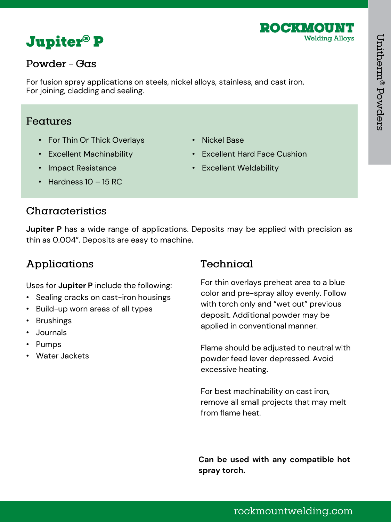



#### Powder - Gas

For fusion spray applications on steels, nickel alloys, stainless, and cast iron. For joining, cladding and sealing.

#### Features

- For Thin Or Thick Overlays
- Excellent Machinability
- Impact Resistance
- Nickel Base
- Excellent Hard Face Cushion
- Excellent Weldability

• Hardness 10 – 15 RC

## Characteristics

**Jupiter P** has a wide range of applications. Deposits may be applied with precision as thin as 0.004". Deposits are easy to machine.

# Applications

Uses for **Jupiter P** include the following:

- Sealing cracks on cast-iron housings
- Build-up worn areas of all types
- Brushings
- Journals
- Pumps
- Water Jackets

# Technical

For thin overlays preheat area to a blue color and pre-spray alloy evenly. Follow with torch only and "wet out" previous deposit. Additional powder may be applied in conventional manner.

Flame should be adjusted to neutral with powder feed lever depressed. Avoid excessive heating.

For best machinability on cast iron, remove all small projects that may melt from flame heat.

**Can be used with any compatible hot spray torch.**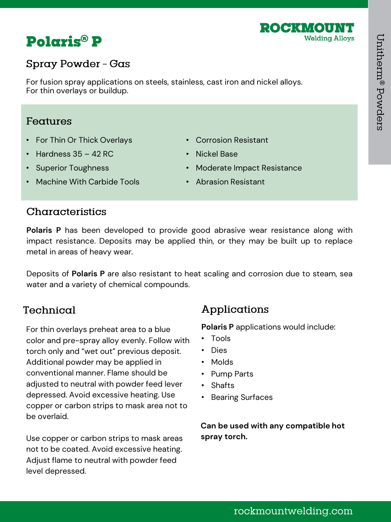



## Spray Powder - Gas

For fusion spray applications on steels, stainless, cast iron and nickel alloys. For thin overlays or buildup.

#### Features

- For Thin Or Thick Overlays
- Hardness  $35 42$  RC
- Superior Toughness
- Machine With Carbide Tools
- Corrosion Resistant • Nickel Base
- Moderate Impact Resistance
- Abrasion Resistant

## Characteristics

**Polaris P** has been developed to provide good abrasive wear resistance along with impact resistance. Deposits may be applied thin, or they may be built up to replace metal in areas of heavy wear.

Deposits of **Polaris P** are also resistant to heat scaling and corrosion due to steam, sea water and a variety of chemical compounds.

## Technical

For thin overlays preheat area to a blue color and pre-spray alloy evenly. Follow with torch only and "wet out" previous deposit. Additional powder may be applied in conventional manner. Flame should be adjusted to neutral with powder feed lever depressed. Avoid excessive heating. Use copper or carbon strips to mask area not to be overlaid.

Use copper or carbon strips to mask areas not to be coated. Avoid excessive heating. Adjust flame to neutral with powder feed level depressed.

## Applications

**Polaris P** applications would include:

- Tools
- Dies
- Molds
- Pump Parts
- Shafts
- Bearing Surfaces

**Can be used with any compatible hot spray torch.**